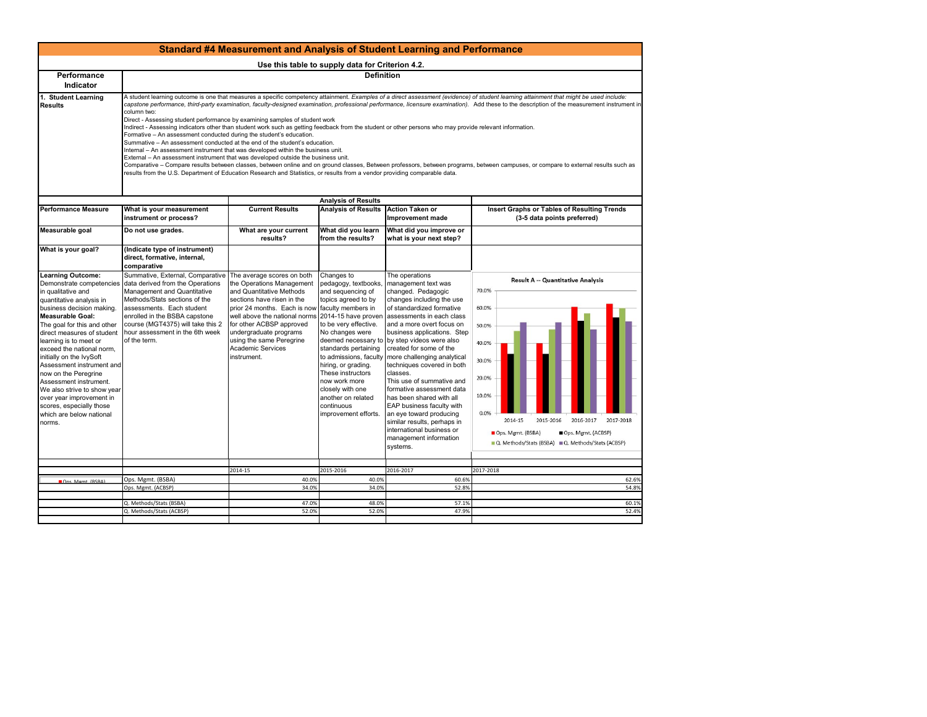|                                                                                                                                                                                                                                                                                                                                                                                                                                                                                                                     | Standard #4 Measurement and Analysis of Student Learning and Performance                                                                                                                                                                                                                                                                                                                                                                                                                                                                                                                                                                                                                                                                                                                                                                                                                                                                                                                                                                                                                                                                                                                                                                                                                             |                                                                                                                                                                                                                                                                                                                                    |                                                                                                                                                                                                                                                                                                                        |                                                                                                                                                                                                                                                                                                                                                                                                                                                                                                                                                                                                                                           |                                                                                                                                                                                                                                                               |  |  |
|---------------------------------------------------------------------------------------------------------------------------------------------------------------------------------------------------------------------------------------------------------------------------------------------------------------------------------------------------------------------------------------------------------------------------------------------------------------------------------------------------------------------|------------------------------------------------------------------------------------------------------------------------------------------------------------------------------------------------------------------------------------------------------------------------------------------------------------------------------------------------------------------------------------------------------------------------------------------------------------------------------------------------------------------------------------------------------------------------------------------------------------------------------------------------------------------------------------------------------------------------------------------------------------------------------------------------------------------------------------------------------------------------------------------------------------------------------------------------------------------------------------------------------------------------------------------------------------------------------------------------------------------------------------------------------------------------------------------------------------------------------------------------------------------------------------------------------|------------------------------------------------------------------------------------------------------------------------------------------------------------------------------------------------------------------------------------------------------------------------------------------------------------------------------------|------------------------------------------------------------------------------------------------------------------------------------------------------------------------------------------------------------------------------------------------------------------------------------------------------------------------|-------------------------------------------------------------------------------------------------------------------------------------------------------------------------------------------------------------------------------------------------------------------------------------------------------------------------------------------------------------------------------------------------------------------------------------------------------------------------------------------------------------------------------------------------------------------------------------------------------------------------------------------|---------------------------------------------------------------------------------------------------------------------------------------------------------------------------------------------------------------------------------------------------------------|--|--|
| Use this table to supply data for Criterion 4.2.                                                                                                                                                                                                                                                                                                                                                                                                                                                                    |                                                                                                                                                                                                                                                                                                                                                                                                                                                                                                                                                                                                                                                                                                                                                                                                                                                                                                                                                                                                                                                                                                                                                                                                                                                                                                      |                                                                                                                                                                                                                                                                                                                                    |                                                                                                                                                                                                                                                                                                                        |                                                                                                                                                                                                                                                                                                                                                                                                                                                                                                                                                                                                                                           |                                                                                                                                                                                                                                                               |  |  |
| Performance<br>Indicator                                                                                                                                                                                                                                                                                                                                                                                                                                                                                            | <b>Definition</b>                                                                                                                                                                                                                                                                                                                                                                                                                                                                                                                                                                                                                                                                                                                                                                                                                                                                                                                                                                                                                                                                                                                                                                                                                                                                                    |                                                                                                                                                                                                                                                                                                                                    |                                                                                                                                                                                                                                                                                                                        |                                                                                                                                                                                                                                                                                                                                                                                                                                                                                                                                                                                                                                           |                                                                                                                                                                                                                                                               |  |  |
| 1. Student Learning<br><b>Results</b>                                                                                                                                                                                                                                                                                                                                                                                                                                                                               | A student learning outcome is one that measures a specific competency attainment. Examples of a direct assessment (evidence) of student learning attainment that might be used include:<br>capstone performance, third-party examination, faculty-designed examination, professional performance, licensure examination). Add these to the description of the measurement instrument in<br>column two:<br>Direct - Assessing student performance by examining samples of student work<br>Indirect - Assessing indicators other than student work such as getting feedback from the student or other persons who may provide relevant information.<br>Formative - An assessment conducted during the student's education.<br>Summative - An assessment conducted at the end of the student's education.<br>Internal - An assessment instrument that was developed within the business unit.<br>External - An assessment instrument that was developed outside the business unit.<br>Comparative - Compare results between classes, between online and on ground classes, Between professors, between programs, between campuses, or compare to external results such as<br>results from the U.S. Department of Education Research and Statistics, or results from a vendor providing comparable data. |                                                                                                                                                                                                                                                                                                                                    |                                                                                                                                                                                                                                                                                                                        |                                                                                                                                                                                                                                                                                                                                                                                                                                                                                                                                                                                                                                           |                                                                                                                                                                                                                                                               |  |  |
| <b>Performance Measure</b>                                                                                                                                                                                                                                                                                                                                                                                                                                                                                          |                                                                                                                                                                                                                                                                                                                                                                                                                                                                                                                                                                                                                                                                                                                                                                                                                                                                                                                                                                                                                                                                                                                                                                                                                                                                                                      | <b>Current Results</b>                                                                                                                                                                                                                                                                                                             | <b>Analysis of Results</b><br><b>Analysis of Results</b>                                                                                                                                                                                                                                                               |                                                                                                                                                                                                                                                                                                                                                                                                                                                                                                                                                                                                                                           |                                                                                                                                                                                                                                                               |  |  |
|                                                                                                                                                                                                                                                                                                                                                                                                                                                                                                                     | What is your measurement<br>instrument or process?                                                                                                                                                                                                                                                                                                                                                                                                                                                                                                                                                                                                                                                                                                                                                                                                                                                                                                                                                                                                                                                                                                                                                                                                                                                   |                                                                                                                                                                                                                                                                                                                                    |                                                                                                                                                                                                                                                                                                                        | <b>Action Taken or</b><br>Improvement made                                                                                                                                                                                                                                                                                                                                                                                                                                                                                                                                                                                                | Insert Graphs or Tables of Resulting Trends<br>(3-5 data points preferred)                                                                                                                                                                                    |  |  |
| Measurable goal                                                                                                                                                                                                                                                                                                                                                                                                                                                                                                     | Do not use grades.                                                                                                                                                                                                                                                                                                                                                                                                                                                                                                                                                                                                                                                                                                                                                                                                                                                                                                                                                                                                                                                                                                                                                                                                                                                                                   | What are your current<br>results?                                                                                                                                                                                                                                                                                                  | What did you learn<br>from the results?                                                                                                                                                                                                                                                                                | What did you improve or<br>what is your next step?                                                                                                                                                                                                                                                                                                                                                                                                                                                                                                                                                                                        |                                                                                                                                                                                                                                                               |  |  |
| What is your goal?                                                                                                                                                                                                                                                                                                                                                                                                                                                                                                  | (Indicate type of instrument)<br>direct, formative, internal,<br>comparative                                                                                                                                                                                                                                                                                                                                                                                                                                                                                                                                                                                                                                                                                                                                                                                                                                                                                                                                                                                                                                                                                                                                                                                                                         |                                                                                                                                                                                                                                                                                                                                    |                                                                                                                                                                                                                                                                                                                        |                                                                                                                                                                                                                                                                                                                                                                                                                                                                                                                                                                                                                                           |                                                                                                                                                                                                                                                               |  |  |
| Learning Outcome:<br>Demonstrate competencies<br>in qualitative and<br>quantitative analysis in<br>business decision making.<br><b>Measurable Goal:</b><br>The goal for this and other<br>direct measures of student<br>learning is to meet or<br>exceed the national norm,<br>initially on the IvySoft<br>Assessment instrument and<br>now on the Peregrine<br>Assessment instrument.<br>We also strive to show year<br>over year improvement in<br>scores, especially those<br>which are below national<br>norms. | Summative, External, Comparative<br>data derived from the Operations<br>Management and Quantitative<br>Methods/Stats sections of the<br>assessments. Each student<br>enrolled in the BSBA capstone<br>course (MGT4375) will take this 2<br>hour assessment in the 6th week<br>of the term.                                                                                                                                                                                                                                                                                                                                                                                                                                                                                                                                                                                                                                                                                                                                                                                                                                                                                                                                                                                                           | The average scores on both<br>the Operations Management<br>and Quantitative Methods<br>sections have risen in the<br>prior 24 months. Each is now faculty members in<br>well above the national norms<br>for other ACBSP approved<br>undergraduate programs<br>using the same Peregrine<br><b>Academic Services</b><br>instrument. | Changes to<br>pedagogy, textbooks,<br>and sequencing of<br>topics agreed to by<br>2014-15 have proven<br>to be very effective.<br>No changes were<br>standards pertaining<br>hiring, or grading.<br>These instructors<br>now work more<br>closely with one<br>another on related<br>continuous<br>improvement efforts. | The operations<br>management text was<br>changed. Pedagogic<br>changes including the use<br>of standardized formative<br>assessments in each class<br>and a more overt focus on<br>business applications. Step<br>deemed necessary to by step videos were also<br>created for some of the<br>to admissions, faculty more challenging analytical<br>techniques covered in both<br>classes.<br>This use of summative and<br>formative assessment data<br>has been shared with all<br>EAP business faculty with<br>an eye toward producing<br>similar results, perhaps in<br>international business or<br>management information<br>systems. | Result A -- Quantitative Analysis<br>70.0%<br>60.0%<br>50.0%<br>40.0%<br>30.0%<br>20.0%<br>10.0%<br>0.0%<br>2014-15<br>2015-2016<br>2016-2017<br>2017-2018<br>Ops. Mgmt. (BSBA)<br>Ops. Mgmt. (ACBSP)<br>■ Q. Methods/Stats (BSBA) ■ Q. Methods/Stats (ACBSP) |  |  |
|                                                                                                                                                                                                                                                                                                                                                                                                                                                                                                                     |                                                                                                                                                                                                                                                                                                                                                                                                                                                                                                                                                                                                                                                                                                                                                                                                                                                                                                                                                                                                                                                                                                                                                                                                                                                                                                      | 2014-15                                                                                                                                                                                                                                                                                                                            | 2015-2016                                                                                                                                                                                                                                                                                                              | 2016-2017                                                                                                                                                                                                                                                                                                                                                                                                                                                                                                                                                                                                                                 | 2017-2018                                                                                                                                                                                                                                                     |  |  |
| Ons Mgmt (RSRA)                                                                                                                                                                                                                                                                                                                                                                                                                                                                                                     | Ops. Mgmt. (BSBA)                                                                                                                                                                                                                                                                                                                                                                                                                                                                                                                                                                                                                                                                                                                                                                                                                                                                                                                                                                                                                                                                                                                                                                                                                                                                                    | 40.0%                                                                                                                                                                                                                                                                                                                              | 40.0%                                                                                                                                                                                                                                                                                                                  | 60.6%                                                                                                                                                                                                                                                                                                                                                                                                                                                                                                                                                                                                                                     | 62.6%                                                                                                                                                                                                                                                         |  |  |
|                                                                                                                                                                                                                                                                                                                                                                                                                                                                                                                     | Ops. Mgmt. (ACBSP)                                                                                                                                                                                                                                                                                                                                                                                                                                                                                                                                                                                                                                                                                                                                                                                                                                                                                                                                                                                                                                                                                                                                                                                                                                                                                   | 34.0%                                                                                                                                                                                                                                                                                                                              | 34.0%                                                                                                                                                                                                                                                                                                                  | 52.8%                                                                                                                                                                                                                                                                                                                                                                                                                                                                                                                                                                                                                                     | 54.8%                                                                                                                                                                                                                                                         |  |  |
|                                                                                                                                                                                                                                                                                                                                                                                                                                                                                                                     | Q. Methods/Stats (BSBA)                                                                                                                                                                                                                                                                                                                                                                                                                                                                                                                                                                                                                                                                                                                                                                                                                                                                                                                                                                                                                                                                                                                                                                                                                                                                              | 47.0%                                                                                                                                                                                                                                                                                                                              | 48.0%                                                                                                                                                                                                                                                                                                                  | 57.1%                                                                                                                                                                                                                                                                                                                                                                                                                                                                                                                                                                                                                                     | 60.1%                                                                                                                                                                                                                                                         |  |  |
|                                                                                                                                                                                                                                                                                                                                                                                                                                                                                                                     | Q. Methods/Stats (ACBSP)                                                                                                                                                                                                                                                                                                                                                                                                                                                                                                                                                                                                                                                                                                                                                                                                                                                                                                                                                                                                                                                                                                                                                                                                                                                                             | 52.0%                                                                                                                                                                                                                                                                                                                              | 52.0%                                                                                                                                                                                                                                                                                                                  | 47.9%                                                                                                                                                                                                                                                                                                                                                                                                                                                                                                                                                                                                                                     | 52.4%                                                                                                                                                                                                                                                         |  |  |
|                                                                                                                                                                                                                                                                                                                                                                                                                                                                                                                     |                                                                                                                                                                                                                                                                                                                                                                                                                                                                                                                                                                                                                                                                                                                                                                                                                                                                                                                                                                                                                                                                                                                                                                                                                                                                                                      |                                                                                                                                                                                                                                                                                                                                    |                                                                                                                                                                                                                                                                                                                        |                                                                                                                                                                                                                                                                                                                                                                                                                                                                                                                                                                                                                                           |                                                                                                                                                                                                                                                               |  |  |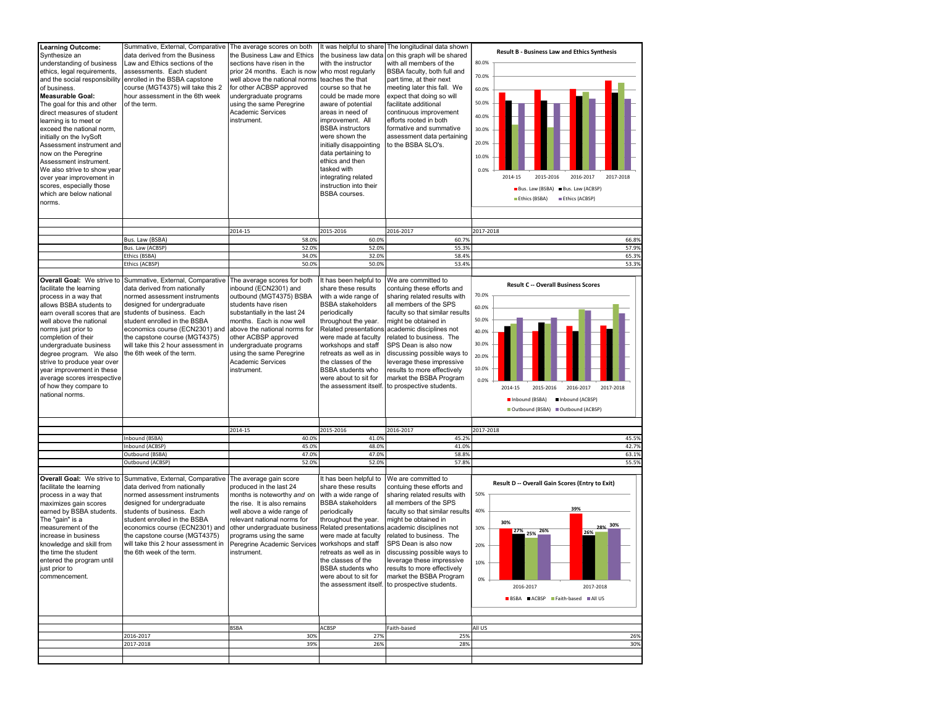| Learning Outcome:<br>Synthesize an<br>understanding of business<br>ethics, legal requirements,<br>and the social responsibility<br>of business.<br><b>Measurable Goal:</b><br>The goal for this and other<br>direct measures of student<br>learning is to meet or<br>exceed the national norm,<br>initially on the IvySoft<br>Assessment instrument and<br>now on the Peregrine<br>Assessment instrument.<br>We also strive to show year<br>over year improvement in<br>scores, especially those<br>which are below national<br>norms. | Summative, External, Comparative<br>data derived from the Business<br>Law and Ethics sections of the<br>assessments. Each student<br>enrolled in the BSBA capstone<br>course (MGT4375) will take this 2<br>hour assessment in the 6th week<br>of the term.                                                                           | The average scores on both<br>the Business Law and Ethics<br>sections have risen in the<br>prior 24 months. Each is now<br>well above the national norms<br>for other ACBSP approved<br>undergraduate programs<br>using the same Peregrine<br><b>Academic Services</b><br>instrument.                                       | It was helpful to share<br>the business law data<br>with the instructor<br>who most regularly<br>teaches the that<br>course so that he<br>could be made more<br>aware of potential<br>areas in need of<br>improvement. All<br><b>BSBA</b> instructors<br>were shown the<br>initially disappointing<br>data pertaining to<br>ethics and then<br>tasked with<br>integrating related<br>instruction into their<br>BSBA courses. | The longitudinal data shown<br>on this graph will be shared<br>with all members of the<br>BSBA faculty, both full and<br>part time, at their next<br>meeting later this fall. We<br>expect that doing so will<br>facilitate additional<br>continuous improvement<br>efforts rooted in both<br>formative and summative<br>assessment data pertaining<br>to the BSBA SLO's.                                                       | <b>Result B - Business Law and Ethics Synthesis</b><br>80.0%<br>70.0%<br>60.0%<br>50.0%<br>40.0%<br>30.0%<br>20.0%<br>10.0%<br>0.0%<br>2016-2017<br>2017-2018<br>2014-15<br>2015-2016<br>Bus. Law (BSBA) Bus. Law (ACBSP)<br>Ethics (BSBA)<br>Ethics (ACBSP) |
|----------------------------------------------------------------------------------------------------------------------------------------------------------------------------------------------------------------------------------------------------------------------------------------------------------------------------------------------------------------------------------------------------------------------------------------------------------------------------------------------------------------------------------------|--------------------------------------------------------------------------------------------------------------------------------------------------------------------------------------------------------------------------------------------------------------------------------------------------------------------------------------|-----------------------------------------------------------------------------------------------------------------------------------------------------------------------------------------------------------------------------------------------------------------------------------------------------------------------------|------------------------------------------------------------------------------------------------------------------------------------------------------------------------------------------------------------------------------------------------------------------------------------------------------------------------------------------------------------------------------------------------------------------------------|---------------------------------------------------------------------------------------------------------------------------------------------------------------------------------------------------------------------------------------------------------------------------------------------------------------------------------------------------------------------------------------------------------------------------------|--------------------------------------------------------------------------------------------------------------------------------------------------------------------------------------------------------------------------------------------------------------|
|                                                                                                                                                                                                                                                                                                                                                                                                                                                                                                                                        |                                                                                                                                                                                                                                                                                                                                      | 2014-15                                                                                                                                                                                                                                                                                                                     | 2015-2016                                                                                                                                                                                                                                                                                                                                                                                                                    | 2016-2017                                                                                                                                                                                                                                                                                                                                                                                                                       | 2017-2018                                                                                                                                                                                                                                                    |
|                                                                                                                                                                                                                                                                                                                                                                                                                                                                                                                                        | Bus. Law (BSBA)                                                                                                                                                                                                                                                                                                                      | 58.0%                                                                                                                                                                                                                                                                                                                       | 60.0%                                                                                                                                                                                                                                                                                                                                                                                                                        | 60.7%                                                                                                                                                                                                                                                                                                                                                                                                                           | 66.8%                                                                                                                                                                                                                                                        |
|                                                                                                                                                                                                                                                                                                                                                                                                                                                                                                                                        | Bus. Law (ACBSP)                                                                                                                                                                                                                                                                                                                     | 52.0%                                                                                                                                                                                                                                                                                                                       | 52.0%                                                                                                                                                                                                                                                                                                                                                                                                                        | 55.3%                                                                                                                                                                                                                                                                                                                                                                                                                           | 57.9%                                                                                                                                                                                                                                                        |
|                                                                                                                                                                                                                                                                                                                                                                                                                                                                                                                                        | Ethics (BSBA)                                                                                                                                                                                                                                                                                                                        | 34.0%                                                                                                                                                                                                                                                                                                                       | 32.0%                                                                                                                                                                                                                                                                                                                                                                                                                        | 58.4%                                                                                                                                                                                                                                                                                                                                                                                                                           | 65.3%                                                                                                                                                                                                                                                        |
|                                                                                                                                                                                                                                                                                                                                                                                                                                                                                                                                        | Ethics (ACBSP)                                                                                                                                                                                                                                                                                                                       | 50.0%                                                                                                                                                                                                                                                                                                                       | 50.0%                                                                                                                                                                                                                                                                                                                                                                                                                        | 53.4%                                                                                                                                                                                                                                                                                                                                                                                                                           | 53.3%                                                                                                                                                                                                                                                        |
| Overall Goal: We strive to<br>facilitate the learning<br>process in a way that<br>allows BSBA students to<br>earn overall scores that are<br>well above the national<br>norms just prior to<br>completion of their<br>undergraduate business<br>degree program. We also<br>strive to produce year over<br>year improvement in these<br>average scores irrespective<br>of how they compare to<br>national norms.                                                                                                                        | Summative, External, Comparative<br>data derived from nationally<br>normed assessment instruments<br>designed for undergraduate<br>students of business. Each<br>student enrolled in the BSBA<br>economics course (ECN2301) and<br>the capstone course (MGT4375)<br>will take this 2 hour assessment in<br>the 6th week of the term. | The average scores for both<br>inbound (ECN2301) and<br>outbound (MGT4375) BSBA<br>students have risen<br>substantially in the last 24<br>months. Each is now well<br>above the national norms for<br>other ACBSP approved<br>undergraduate programs<br>using the same Peregrine<br><b>Academic Services</b><br>instrument. | It has been helpful to<br>share these results<br>with a wide range of<br><b>BSBA</b> stakeholders<br>periodically<br>throughout the year.<br>Related presentations<br>were made at faculty<br>workshops and staff<br>retreats as well as in<br>the classes of the<br><b>BSBA</b> students who<br>were about to sit for                                                                                                       | We are committed to<br>contuing these efforts and<br>sharing related results with<br>all members of the SPS<br>faculty so that similar results<br>might be obtained in<br>academic disciplines not<br>related to business. The<br>SPS Dean is also now<br>discussing possible ways to<br>leverage these impressive<br>results to more effectively<br>market the BSBA Program<br>the assessment itself. to prospective students. | <b>Result C -- Overall Business Scores</b><br>70.0%<br>60.0%<br>50.0%<br>40.0%<br>30.0%<br>20.0%<br>10.0%<br>0.0%<br>2014-15<br>2015-2016<br>2016-2017<br>2017-2018<br>Inbound (BSBA)<br>Inbound (ACBSP)<br>Outbound (BSBA) Outbound (ACBSP)                 |
|                                                                                                                                                                                                                                                                                                                                                                                                                                                                                                                                        |                                                                                                                                                                                                                                                                                                                                      | 2014-15                                                                                                                                                                                                                                                                                                                     | 2015-2016                                                                                                                                                                                                                                                                                                                                                                                                                    | 2016-2017                                                                                                                                                                                                                                                                                                                                                                                                                       | 2017-2018                                                                                                                                                                                                                                                    |
|                                                                                                                                                                                                                                                                                                                                                                                                                                                                                                                                        | Inbound (BSBA)                                                                                                                                                                                                                                                                                                                       | 40.0%                                                                                                                                                                                                                                                                                                                       | 41.0%                                                                                                                                                                                                                                                                                                                                                                                                                        | 45.2%                                                                                                                                                                                                                                                                                                                                                                                                                           | 45.5%                                                                                                                                                                                                                                                        |
|                                                                                                                                                                                                                                                                                                                                                                                                                                                                                                                                        | Inbound (ACBSP)<br>Outbound (BSBA)                                                                                                                                                                                                                                                                                                   | 45.0%<br>47.0%                                                                                                                                                                                                                                                                                                              | 48.0%<br>47.0%                                                                                                                                                                                                                                                                                                                                                                                                               | 41.0%<br>58.8%                                                                                                                                                                                                                                                                                                                                                                                                                  | 42.7%<br>63.1%                                                                                                                                                                                                                                               |
|                                                                                                                                                                                                                                                                                                                                                                                                                                                                                                                                        | Outbound (ACBSP)                                                                                                                                                                                                                                                                                                                     | 52.0%                                                                                                                                                                                                                                                                                                                       | 52.0%                                                                                                                                                                                                                                                                                                                                                                                                                        | 57.8%                                                                                                                                                                                                                                                                                                                                                                                                                           | 55.5%                                                                                                                                                                                                                                                        |
| Overall Goal: We strive to<br>facilitate the learning<br>process in a way that<br>maximizes gain scores<br>earned by BSBA students.<br>The "gain" is a<br>measurement of the<br>increase in business<br>knowledge and skill from<br>the time the student<br>entered the program until<br>just prior to<br>commencement.                                                                                                                                                                                                                | Summative, External, Comparative<br>data derived from nationally<br>normed assessment instruments<br>designed for undergraduate<br>students of business. Each<br>student enrolled in the BSBA<br>economics course (ECN2301) and<br>the capstone course (MGT4375)<br>will take this 2 hour assessment in<br>the 6th week of the term. | The average gain score<br>produced in the last 24<br>months is noteworthy and on<br>the rise. It is also remains<br>well above a wide range of<br>relevant national norms for<br>other undergraduate busines<br>programs using the same<br>Peregrine Academic Services<br>instrument.                                       | It has been helpful to<br>share these results<br>with a wide range of<br><b>BSBA</b> stakeholders<br>periodically<br>throughout the year.<br>Related presentations<br>were made at faculty<br>workshops and staff<br>retreats as well as in<br>the classes of the<br>BSBA students who<br>were about to sit for                                                                                                              | We are committed to<br>contuing these efforts and<br>sharing related results with<br>all members of the SPS<br>faculty so that similar results<br>might be obtained in<br>academic disciplines not<br>related to business. The<br>SPS Dean is also now<br>discussing possible ways to<br>leverage these impressive<br>results to more effectively<br>market the BSBA Program<br>the assessment itself. to prospective students. | Result D -- Overall Gain Scores (Entry to Exit)<br>50%<br>39%<br>40%<br>30%<br>28% 30%<br>30%<br>27% 25% 26%<br>26%<br>20%<br>10%<br>0%<br>2017-2018<br>2016-2017<br>BSBA ACBSP Faith-based All US                                                           |
|                                                                                                                                                                                                                                                                                                                                                                                                                                                                                                                                        |                                                                                                                                                                                                                                                                                                                                      | <b>BSBA</b>                                                                                                                                                                                                                                                                                                                 | ACBSP                                                                                                                                                                                                                                                                                                                                                                                                                        | Faith-based                                                                                                                                                                                                                                                                                                                                                                                                                     | All US                                                                                                                                                                                                                                                       |
|                                                                                                                                                                                                                                                                                                                                                                                                                                                                                                                                        | 2016-2017                                                                                                                                                                                                                                                                                                                            | 30%                                                                                                                                                                                                                                                                                                                         | 27%                                                                                                                                                                                                                                                                                                                                                                                                                          | 25%                                                                                                                                                                                                                                                                                                                                                                                                                             | 26%                                                                                                                                                                                                                                                          |
|                                                                                                                                                                                                                                                                                                                                                                                                                                                                                                                                        | 2017-2018                                                                                                                                                                                                                                                                                                                            | 39%                                                                                                                                                                                                                                                                                                                         | 26%                                                                                                                                                                                                                                                                                                                                                                                                                          | 28%                                                                                                                                                                                                                                                                                                                                                                                                                             | 30%                                                                                                                                                                                                                                                          |
|                                                                                                                                                                                                                                                                                                                                                                                                                                                                                                                                        |                                                                                                                                                                                                                                                                                                                                      |                                                                                                                                                                                                                                                                                                                             |                                                                                                                                                                                                                                                                                                                                                                                                                              |                                                                                                                                                                                                                                                                                                                                                                                                                                 |                                                                                                                                                                                                                                                              |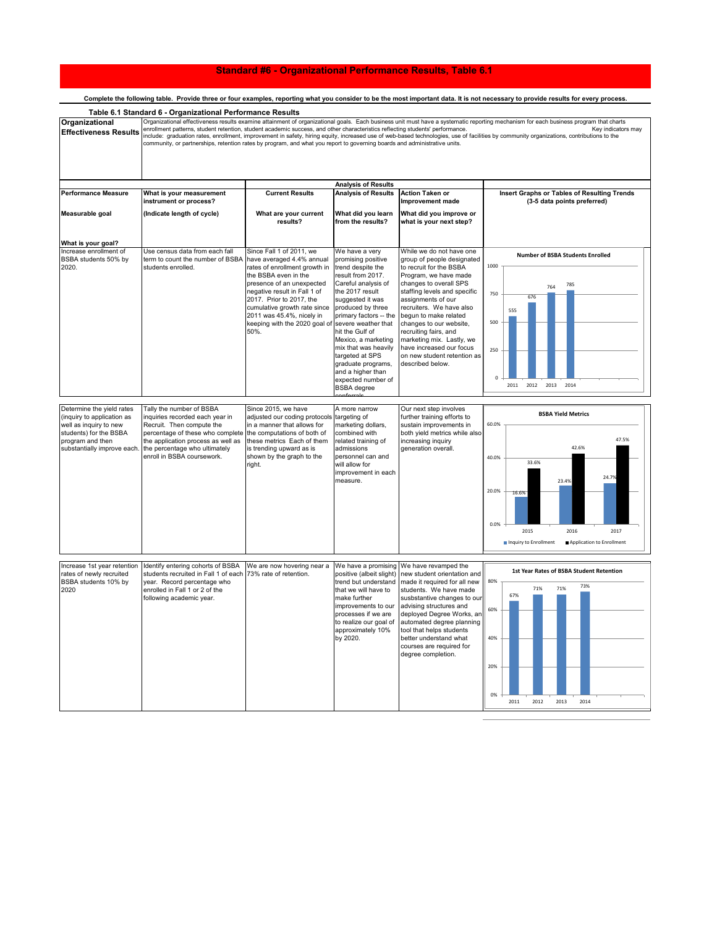## **Standard #6 - Organizational Performance Results, Table 6.1**

| Complete the ionowing table. Provide three or lour examples, reporting what you consider to be the most important data. It is not necessary to provide results for every process. |                                                                                                                                                                                                                                                                                                                                                                                                                                                                                                                                                                                                                                                                                                                                   |                                                                                                                                                                                                                                                                                                               |                                                                                                                                                                                                                                                                                                                                                                                                |                                                                                                                                                                                                                                                                                                                                                                                                                 |                                                                                                                                                                                                  |  |
|-----------------------------------------------------------------------------------------------------------------------------------------------------------------------------------|-----------------------------------------------------------------------------------------------------------------------------------------------------------------------------------------------------------------------------------------------------------------------------------------------------------------------------------------------------------------------------------------------------------------------------------------------------------------------------------------------------------------------------------------------------------------------------------------------------------------------------------------------------------------------------------------------------------------------------------|---------------------------------------------------------------------------------------------------------------------------------------------------------------------------------------------------------------------------------------------------------------------------------------------------------------|------------------------------------------------------------------------------------------------------------------------------------------------------------------------------------------------------------------------------------------------------------------------------------------------------------------------------------------------------------------------------------------------|-----------------------------------------------------------------------------------------------------------------------------------------------------------------------------------------------------------------------------------------------------------------------------------------------------------------------------------------------------------------------------------------------------------------|--------------------------------------------------------------------------------------------------------------------------------------------------------------------------------------------------|--|
| Organizational<br><b>Effectiveness Results</b>                                                                                                                                    | Table 6.1 Standard 6 - Organizational Performance Results<br>Organizational effectiveness results examine attainment of organizational goals. Each business unit must have a systematic reporting mechanism for each business program that charts<br>enrollment patterns, student retention, student academic success, and other characteristics reflecting students' performance.<br>Key indicators may<br>include: graduation rates, enrollment, improvement in safety, hiring equity, increased use of web-based technologies, use of facilities by community organizations, contributions to the<br>community, or partnerships, retention rates by program, and what you report to governing boards and administrative units. |                                                                                                                                                                                                                                                                                                               |                                                                                                                                                                                                                                                                                                                                                                                                |                                                                                                                                                                                                                                                                                                                                                                                                                 |                                                                                                                                                                                                  |  |
|                                                                                                                                                                                   |                                                                                                                                                                                                                                                                                                                                                                                                                                                                                                                                                                                                                                                                                                                                   |                                                                                                                                                                                                                                                                                                               |                                                                                                                                                                                                                                                                                                                                                                                                |                                                                                                                                                                                                                                                                                                                                                                                                                 |                                                                                                                                                                                                  |  |
| <b>Performance Measure</b><br>Measurable goal                                                                                                                                     | What is your measurement<br>instrument or process?<br>(Indicate length of cycle)                                                                                                                                                                                                                                                                                                                                                                                                                                                                                                                                                                                                                                                  | <b>Current Results</b><br>What are your current<br>results?                                                                                                                                                                                                                                                   | <b>Analysis of Results</b><br><b>Analysis of Results</b><br>What did you learn<br>from the results?                                                                                                                                                                                                                                                                                            | <b>Action Taken or</b><br>Improvement made<br>What did you improve or<br>what is your next step?                                                                                                                                                                                                                                                                                                                | Insert Graphs or Tables of Resulting Trends<br>(3-5 data points preferred)                                                                                                                       |  |
|                                                                                                                                                                                   |                                                                                                                                                                                                                                                                                                                                                                                                                                                                                                                                                                                                                                                                                                                                   |                                                                                                                                                                                                                                                                                                               |                                                                                                                                                                                                                                                                                                                                                                                                |                                                                                                                                                                                                                                                                                                                                                                                                                 |                                                                                                                                                                                                  |  |
| What is your goal?                                                                                                                                                                |                                                                                                                                                                                                                                                                                                                                                                                                                                                                                                                                                                                                                                                                                                                                   |                                                                                                                                                                                                                                                                                                               |                                                                                                                                                                                                                                                                                                                                                                                                |                                                                                                                                                                                                                                                                                                                                                                                                                 |                                                                                                                                                                                                  |  |
| Increase enrollment of<br>BSBA students 50% by<br>2020.                                                                                                                           | Use census data from each fall<br>term to count the number of BSBA<br>students enrolled.                                                                                                                                                                                                                                                                                                                                                                                                                                                                                                                                                                                                                                          | Since Fall 1 of 2011, we<br>have averaged 4.4% annual<br>rates of enrollment growth in<br>the BSBA even in the<br>presence of an unexpected<br>negative result in Fall 1 of<br>2017. Prior to 2017, the<br>cumulative growth rate since<br>2011 was 45.4%, nicely in<br>keeping with the 2020 goal of<br>50%. | We have a very<br>promising positive<br>trend despite the<br>result from 2017.<br>Careful analysis of<br>the 2017 result<br>suggested it was<br>produced by three<br>primary factors -- the<br>severe weather that<br>hit the Gulf of<br>Mexico, a marketing<br>mix that was heavily<br>targeted at SPS<br>graduate programs,<br>and a higher than<br>expected number of<br><b>BSBA</b> degree | While we do not have one<br>group of people designated<br>to recruit for the BSBA<br>Program, we have made<br>changes to overall SPS<br>staffing levels and specific<br>assignments of our<br>recruiters. We have also<br>begun to make related<br>changes to our website,<br>recruiting fairs, and<br>marketing mix. Lastly, we<br>have increased our focus<br>on new student retention as<br>described below. | Number of BSBA Students Enrolled<br>1000<br>785<br>764<br>750<br>676<br>555<br>500<br>250<br>2013<br>2014<br>2011<br>2012                                                                        |  |
| Determine the yield rates<br>(inquiry to application as<br>well as inquiry to new<br>students) for the BSBA<br>program and then<br>substantially improve each                     | Tally the number of BSBA<br>inquiries recorded each year in<br>Recruit. Then compute the<br>percentage of these who complete<br>the application process as well as<br>the percentage who ultimately<br>enroll in BSBA coursework.                                                                                                                                                                                                                                                                                                                                                                                                                                                                                                 | Since 2015, we have<br>adjusted our coding protocols targeting of<br>in a manner that allows for<br>the computations of both of<br>these metrics Each of them<br>is trending upward as is<br>shown by the graph to the<br>right.                                                                              | A more narrow<br>marketing dollars,<br>combined with<br>related training of<br>admissions<br>personnel can and<br>will allow for<br>improvement in each<br>measure.                                                                                                                                                                                                                            | Our next step involves<br>further training efforts to<br>sustain improvements in<br>both yield metrics while also<br>increasing inquiry<br>generation overall.                                                                                                                                                                                                                                                  | <b>BSBA Yield Metrics</b><br>60.0%<br>47.5%<br>42.6%<br>40.0%<br>33.6%<br>24.7%<br>23.4%<br>20.0%<br>16.6%<br>0.0%<br>2015<br>2016<br>2017<br>Inquiry to Enrollment<br>Application to Enrollment |  |
|                                                                                                                                                                                   |                                                                                                                                                                                                                                                                                                                                                                                                                                                                                                                                                                                                                                                                                                                                   |                                                                                                                                                                                                                                                                                                               |                                                                                                                                                                                                                                                                                                                                                                                                |                                                                                                                                                                                                                                                                                                                                                                                                                 |                                                                                                                                                                                                  |  |
| Increase 1st year retention<br>rates of newly recruited<br>BSBA students 10% by<br>2020                                                                                           | Identify entering cohorts of BSBA<br>students recruited in Fall 1 of each 73% rate of retention.<br>year. Record percentage who<br>enrolled in Fall 1 or 2 of the<br>following academic year.                                                                                                                                                                                                                                                                                                                                                                                                                                                                                                                                     | We are now hovering near a                                                                                                                                                                                                                                                                                    | positive (albeit slight)<br>trend but understand<br>that we will have to<br>make further<br>improvements to our<br>processes if we are<br>approximately 10%<br>by 2020.                                                                                                                                                                                                                        | We have a promising We have revamped the<br>new student orientation and<br>made it required for all new<br>students. We have made<br>susbstantive changes to our<br>advising structures and<br>deployed Degree Works, an<br>to realize our goal of automated degree planning<br>tool that helps students<br>better understand what<br>courses are required for<br>degree completion.                            | 1st Year Rates of BSBA Student Retention<br>80%<br>73%<br>71%<br>71%<br>67%<br>60%<br>40%<br>20%<br>0%<br>2011<br>2012<br>2013<br>2014                                                           |  |

## Complete the following table. Provide three or four examples, reporting what you consider to be the most important data. It is not necessary to provide results for every provide results for every process.